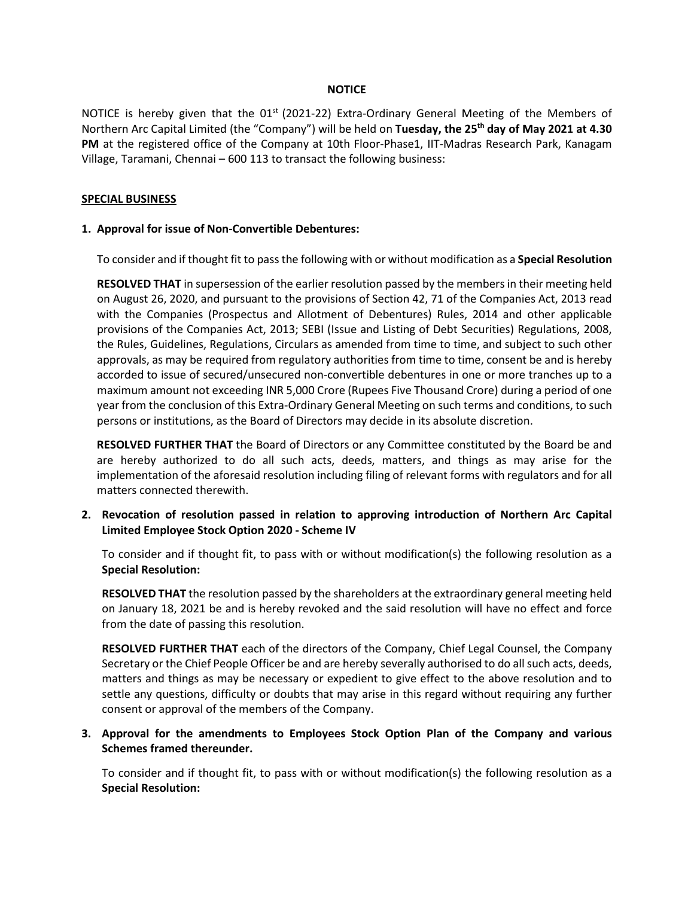#### **NOTICE**

NOTICE is hereby given that the  $01<sup>st</sup>$  (2021-22) Extra-Ordinary General Meeting of the Members of Northern Arc Capital Limited (the "Company") will be held on **Tuesday, the 25th day of May 2021 at 4.30** PM at the registered office of the Company at 10th Floor-Phase1, IIT-Madras Research Park, Kanagam Village, Taramani, Chennai – 600 113 to transact the following business:

#### **SPECIAL BUSINESS**

#### **1. Approval for issue of Non-Convertible Debentures:**

To consider and if thought fit to pass the following with or without modification as a **Special Resolution**

**RESOLVED THAT** in supersession of the earlier resolution passed by the members in their meeting held on August 26, 2020, and pursuant to the provisions of Section 42, 71 of the Companies Act, 2013 read with the Companies (Prospectus and Allotment of Debentures) Rules, 2014 and other applicable provisions of the Companies Act, 2013; SEBI (Issue and Listing of Debt Securities) Regulations, 2008, the Rules, Guidelines, Regulations, Circulars as amended from time to time, and subject to such other approvals, as may be required from regulatory authorities from time to time, consent be and is hereby accorded to issue of secured/unsecured non-convertible debentures in one or more tranches up to a maximum amount not exceeding INR 5,000 Crore (Rupees Five Thousand Crore) during a period of one year from the conclusion of this Extra-Ordinary General Meeting on such terms and conditions, to such persons or institutions, as the Board of Directors may decide in its absolute discretion.

**RESOLVED FURTHER THAT** the Board of Directors or any Committee constituted by the Board be and are hereby authorized to do all such acts, deeds, matters, and things as may arise for the implementation of the aforesaid resolution including filing of relevant forms with regulators and for all matters connected therewith.

**2. Revocation of resolution passed in relation to approving introduction of Northern Arc Capital Limited Employee Stock Option 2020 - Scheme IV**

To consider and if thought fit, to pass with or without modification(s) the following resolution as a **Special Resolution:**

**RESOLVED THAT** the resolution passed by the shareholders at the extraordinary general meeting held on January 18, 2021 be and is hereby revoked and the said resolution will have no effect and force from the date of passing this resolution.

**RESOLVED FURTHER THAT** each of the directors of the Company, Chief Legal Counsel, the Company Secretary or the Chief People Officer be and are hereby severally authorised to do all such acts, deeds, matters and things as may be necessary or expedient to give effect to the above resolution and to settle any questions, difficulty or doubts that may arise in this regard without requiring any further consent or approval of the members of the Company.

## **3. Approval for the amendments to Employees Stock Option Plan of the Company and various Schemes framed thereunder.**

To consider and if thought fit, to pass with or without modification(s) the following resolution as a **Special Resolution:**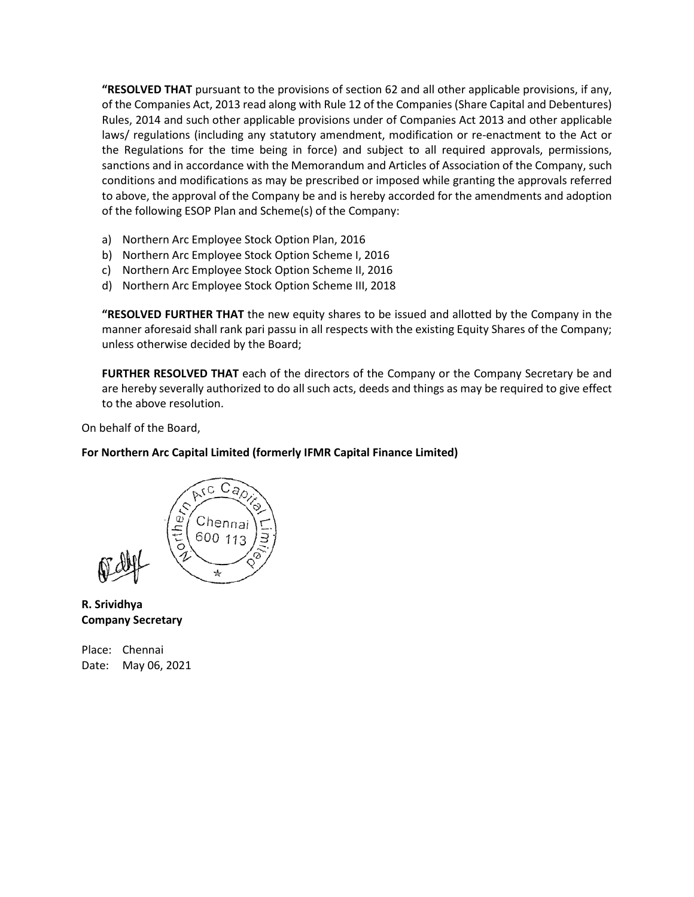**"RESOLVED THAT** pursuant to the provisions of section 62 and all other applicable provisions, if any, of the Companies Act, 2013 read along with Rule 12 of the Companies (Share Capital and Debentures) Rules, 2014 and such other applicable provisions under of Companies Act 2013 and other applicable laws/ regulations (including any statutory amendment, modification or re-enactment to the Act or the Regulations for the time being in force) and subject to all required approvals, permissions, sanctions and in accordance with the Memorandum and Articles of Association of the Company, such conditions and modifications as may be prescribed or imposed while granting the approvals referred to above, the approval of the Company be and is hereby accorded for the amendments and adoption of the following ESOP Plan and Scheme(s) of the Company:

- a) Northern Arc Employee Stock Option Plan, 2016
- b) Northern Arc Employee Stock Option Scheme I, 2016
- c) Northern Arc Employee Stock Option Scheme II, 2016
- d) Northern Arc Employee Stock Option Scheme III, 2018

**"RESOLVED FURTHER THAT** the new equity shares to be issued and allotted by the Company in the manner aforesaid shall rank pari passu in all respects with the existing Equity Shares of the Company; unless otherwise decided by the Board;

**FURTHER RESOLVED THAT** each of the directors of the Company or the Company Secretary be and are hereby severally authorized to do all such acts, deeds and things as may be required to give effect to the above resolution.

On behalf of the Board,

## **For Northern Arc Capital Limited (formerly IFMR Capital Finance Limited)**



**R. Srividhya Company Secretary**

Place: Chennai Date: May 06, 2021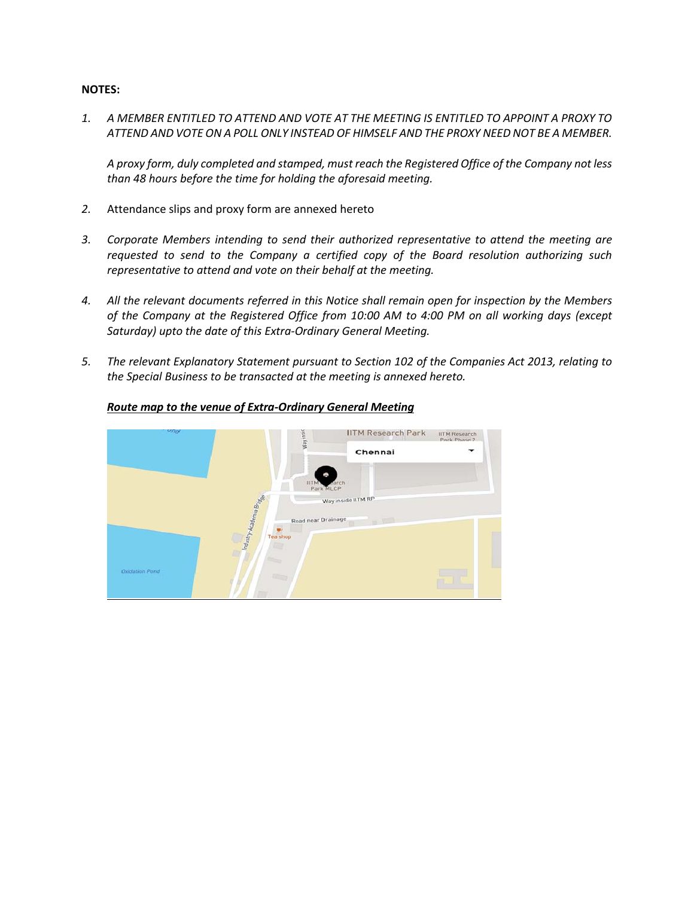#### **NOTES:**

*1. A MEMBER ENTITLED TO ATTEND AND VOTE AT THE MEETING IS ENTITLED TO APPOINT A PROXY TO ATTEND AND VOTE ON A POLL ONLY INSTEAD OF HIMSELF AND THE PROXY NEED NOT BE A MEMBER.*

*A proxy form, duly completed and stamped, must reach the Registered Office of the Company not less than 48 hours before the time for holding the aforesaid meeting.*

- *2.* Attendance slips and proxy form are annexed hereto
- *3. Corporate Members intending to send their authorized representative to attend the meeting are requested to send to the Company a certified copy of the Board resolution authorizing such representative to attend and vote on their behalf at the meeting.*
- *4. All the relevant documents referred in this Notice shall remain open for inspection by the Members of the Company at the Registered Office from 10:00 AM to 4:00 PM on all working days (except Saturday) upto the date of this Extra-Ordinary General Meeting.*
- *5. The relevant Explanatory Statement pursuant to Section 102 of the Companies Act 2013, relating to the Special Business to be transacted at the meeting is annexed hereto.*



## *Route map to the venue of Extra-Ordinary General Meeting*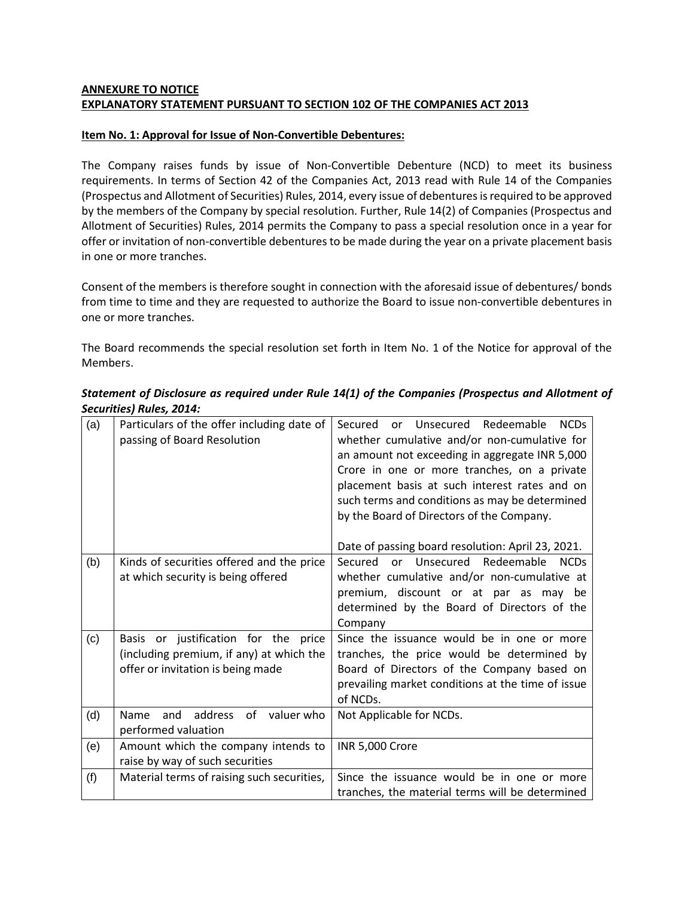# **ANNEXURE TO NOTICE EXPLANATORY STATEMENT PURSUANT TO SECTION 102 OF THE COMPANIES ACT 2013**

## **Item No. 1: Approval for Issue of Non-Convertible Debentures:**

The Company raises funds by issue of Non-Convertible Debenture (NCD) to meet its business requirements. In terms of Section 42 of the Companies Act, 2013 read with Rule 14 of the Companies (Prospectus and Allotment of Securities) Rules, 2014, every issue of debentures is required to be approved by the members of the Company by special resolution. Further, Rule 14(2) of Companies (Prospectus and Allotment of Securities) Rules, 2014 permits the Company to pass a special resolution once in a year for offer or invitation of non-convertible debentures to be made during the year on a private placement basis in one or more tranches.

Consent of the members is therefore sought in connection with the aforesaid issue of debentures/ bonds from time to time and they are requested to authorize the Board to issue non-convertible debentures in one or more tranches.

The Board recommends the special resolution set forth in Item No. 1 of the Notice for approval of the Members.

| (a) | Particulars of the offer including date of<br>passing of Board Resolution                                             | or Unsecured Redeemable<br><b>NCDs</b><br>Secured<br>whether cumulative and/or non-cumulative for<br>an amount not exceeding in aggregate INR 5,000<br>Crore in one or more tranches, on a private<br>placement basis at such interest rates and on<br>such terms and conditions as may be determined<br>by the Board of Directors of the Company. |
|-----|-----------------------------------------------------------------------------------------------------------------------|----------------------------------------------------------------------------------------------------------------------------------------------------------------------------------------------------------------------------------------------------------------------------------------------------------------------------------------------------|
|     |                                                                                                                       | Date of passing board resolution: April 23, 2021.                                                                                                                                                                                                                                                                                                  |
| (b) | Kinds of securities offered and the price<br>at which security is being offered                                       | Unsecured Redeemable<br>Secured<br><b>NCDs</b><br>or<br>whether cumulative and/or non-cumulative at<br>premium, discount or at par as may be<br>determined by the Board of Directors of the<br>Company                                                                                                                                             |
| (c) | Basis or justification for the price<br>(including premium, if any) at which the<br>offer or invitation is being made | Since the issuance would be in one or more<br>tranches, the price would be determined by<br>Board of Directors of the Company based on<br>prevailing market conditions at the time of issue<br>of NCDs.                                                                                                                                            |
| (d) | Name<br>address<br>of<br>valuer who<br>and<br>performed valuation                                                     | Not Applicable for NCDs.                                                                                                                                                                                                                                                                                                                           |
| (e) | Amount which the company intends to<br>raise by way of such securities                                                | <b>INR 5,000 Crore</b>                                                                                                                                                                                                                                                                                                                             |
| (f) | Material terms of raising such securities,                                                                            | Since the issuance would be in one or more<br>tranches, the material terms will be determined                                                                                                                                                                                                                                                      |

*Statement of Disclosure as required under Rule 14(1) of the Companies (Prospectus and Allotment of Securities) Rules, 2014:*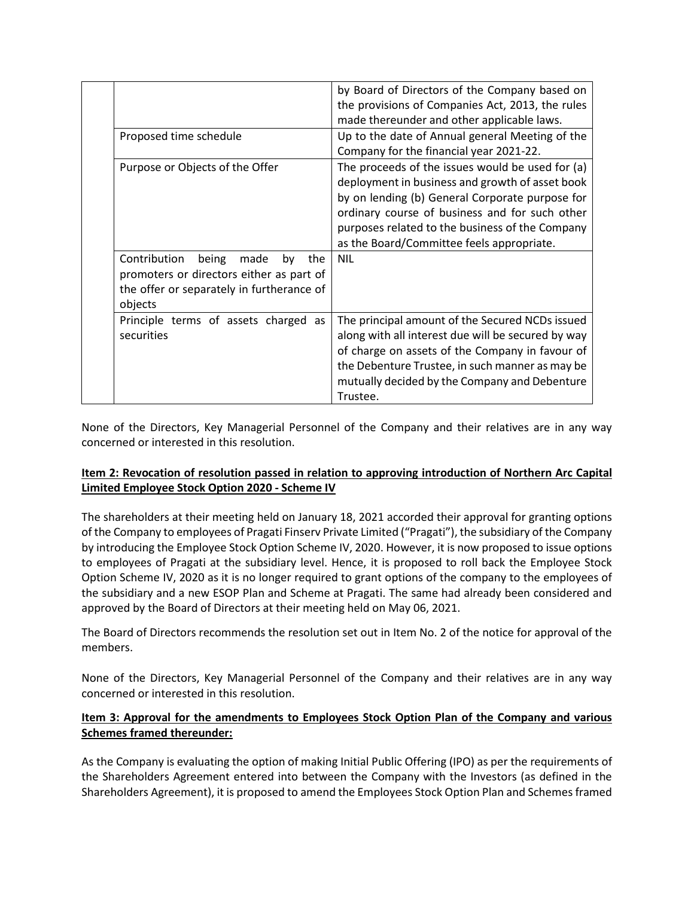|                                                                                                                                                | by Board of Directors of the Company based on<br>the provisions of Companies Act, 2013, the rules<br>made thereunder and other applicable laws.                                                                                                                                                          |
|------------------------------------------------------------------------------------------------------------------------------------------------|----------------------------------------------------------------------------------------------------------------------------------------------------------------------------------------------------------------------------------------------------------------------------------------------------------|
| Proposed time schedule                                                                                                                         | Up to the date of Annual general Meeting of the<br>Company for the financial year 2021-22.                                                                                                                                                                                                               |
| Purpose or Objects of the Offer                                                                                                                | The proceeds of the issues would be used for (a)<br>deployment in business and growth of asset book<br>by on lending (b) General Corporate purpose for<br>ordinary course of business and for such other<br>purposes related to the business of the Company<br>as the Board/Committee feels appropriate. |
| Contribution<br>being<br>made<br>by<br>the<br>promoters or directors either as part of<br>the offer or separately in furtherance of<br>objects | <b>NIL</b>                                                                                                                                                                                                                                                                                               |
| Principle terms of assets charged as<br>securities                                                                                             | The principal amount of the Secured NCDs issued<br>along with all interest due will be secured by way<br>of charge on assets of the Company in favour of<br>the Debenture Trustee, in such manner as may be<br>mutually decided by the Company and Debenture<br>Trustee.                                 |

None of the Directors, Key Managerial Personnel of the Company and their relatives are in any way concerned or interested in this resolution.

## **Item 2: Revocation of resolution passed in relation to approving introduction of Northern Arc Capital Limited Employee Stock Option 2020 - Scheme IV**

The shareholders at their meeting held on January 18, 2021 accorded their approval for granting options of the Company to employees of Pragati Finserv Private Limited ("Pragati"), the subsidiary of the Company by introducing the Employee Stock Option Scheme IV, 2020. However, it is now proposed to issue options to employees of Pragati at the subsidiary level. Hence, it is proposed to roll back the Employee Stock Option Scheme IV, 2020 as it is no longer required to grant options of the company to the employees of the subsidiary and a new ESOP Plan and Scheme at Pragati. The same had already been considered and approved by the Board of Directors at their meeting held on May 06, 2021.

The Board of Directors recommends the resolution set out in Item No. 2 of the notice for approval of the members.

None of the Directors, Key Managerial Personnel of the Company and their relatives are in any way concerned or interested in this resolution.

# **Item 3: Approval for the amendments to Employees Stock Option Plan of the Company and various Schemes framed thereunder:**

As the Company is evaluating the option of making Initial Public Offering (IPO) as per the requirements of the Shareholders Agreement entered into between the Company with the Investors (as defined in the Shareholders Agreement), it is proposed to amend the Employees Stock Option Plan and Schemes framed